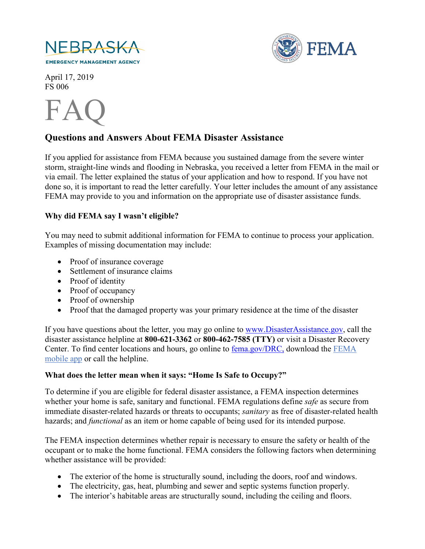



April 17, 2019 FS 006



# **Questions and Answers About FEMA Disaster Assistance**

If you applied for assistance from FEMA because you sustained damage from the severe winter storm, straight-line winds and flooding in Nebraska, you received a letter from FEMA in the mail or via email. The letter explained the status of your application and how to respond. If you have not done so, it is important to read the letter carefully. Your letter includes the amount of any assistance FEMA may provide to you and information on the appropriate use of disaster assistance funds.

### **Why did FEMA say I wasn't eligible?**

You may need to submit additional information for FEMA to continue to process your application. Examples of missing documentation may include:

- Proof of insurance coverage
- Settlement of insurance claims
- Proof of identity
- Proof of occupancy
- Proof of ownership
- Proof that the damaged property was your primary residence at the time of the disaster

If you have questions about the letter, you may go online to [www.DisasterAssistance.gov,](http://www.disasterassistance.gov/) call the disaster assistance helpline at **800-621-3362** or **800-462-7585 (TTY)** or visit a Disaster Recovery Center. To find center locations and hours, go online to [fema.gov/DRC,](https://www.fema.gov/disaster-recovery-centers) download the [FEMA](https://www.fema.gov/mobile-app)  [mobile app](https://www.fema.gov/mobile-app) or call the helpline.

### **What does the letter mean when it says: "Home Is Safe to Occupy?"**

To determine if you are eligible for federal disaster assistance, a FEMA inspection determines whether your home is safe, sanitary and functional. FEMA regulations define *safe* as secure from immediate disaster-related hazards or threats to occupants; *sanitary* as free of disaster-related health hazards; and *functional* as an item or home capable of being used for its intended purpose.

The FEMA inspection determines whether repair is necessary to ensure the safety or health of the occupant or to make the home functional. FEMA considers the following factors when determining whether assistance will be provided:

- The exterior of the home is structurally sound, including the doors, roof and windows.
- The electricity, gas, heat, plumbing and sewer and septic systems function properly.
- The interior's habitable areas are structurally sound, including the ceiling and floors.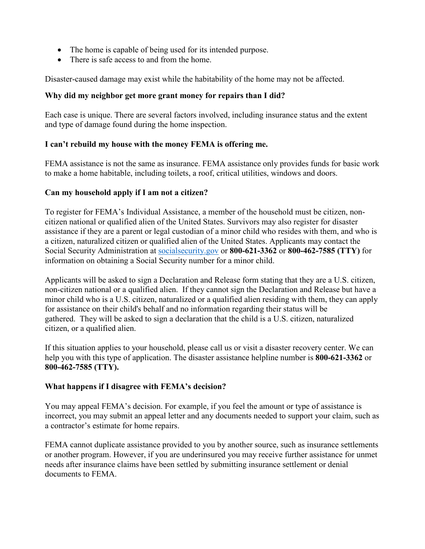- The home is capable of being used for its intended purpose.
- There is safe access to and from the home.

Disaster-caused damage may exist while the habitability of the home may not be affected.

### **Why did my neighbor get more grant money for repairs than I did?**

Each case is unique. There are several factors involved, including insurance status and the extent and type of damage found during the home inspection.

### **I can't rebuild my house with the money FEMA is offering me.**

FEMA assistance is not the same as insurance. FEMA assistance only provides funds for basic work to make a home habitable, including toilets, a roof, critical utilities, windows and doors.

## **Can my household apply if I am not a citizen?**

To register for FEMA's Individual Assistance, a member of the household must be citizen, noncitizen national or qualified alien of the United States. Survivors may also register for disaster assistance if they are a parent or legal custodian of a minor child who resides with them, and who is a citizen, naturalized citizen or qualified alien of the United States. Applicants may contact the Social Security Administration at [socialsecurity.gov](http://www.socialsecurity.gov/) or **800-621-3362** or **800-462-7585 (TTY)** for information on obtaining a Social Security number for a minor child.

Applicants will be asked to sign a Declaration and Release form stating that they are a U.S. citizen, non-citizen national or a qualified alien. If they cannot sign the Declaration and Release but have a minor child who is a U.S. citizen, naturalized or a qualified alien residing with them, they can apply for assistance on their child's behalf and no information regarding their status will be gathered. They will be asked to sign a declaration that the child is a U.S. citizen, naturalized citizen, or a qualified alien.

If this situation applies to your household, please call us or visit a disaster recovery center. We can help you with this type of application. The disaster assistance helpline number is **800-621-3362** or **800-462-7585 (TTY).**

### **What happens if I disagree with FEMA's decision?**

You may appeal FEMA's decision. For example, if you feel the amount or type of assistance is incorrect, you may submit an appeal letter and any documents needed to support your claim, such as a contractor's estimate for home repairs.

FEMA cannot duplicate assistance provided to you by another source, such as insurance settlements or another program. However, if you are underinsured you may receive further assistance for unmet needs after insurance claims have been settled by submitting insurance settlement or denial documents to FEMA.